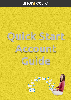# **SMARTYESSAGES**

# **Quick Start Account Guide**

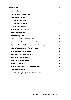#### **Auliek Start Guide 1 and 2008 1 and 2008 1 and 2008 1 and 2008 1 and 2008 1 and 2008 1 and 2008 1 and 2008 1 and 2008 1 and 2008 1 and 2008 1 and 2008 1 and 2008 1 and 2008 1 and 2008 1 and 2008 1 and 2008 1 and 2008 1 an**

| <b>Account Setup</b>                                     | $\mathbf{1}$     |
|----------------------------------------------------------|------------------|
| How do I brand my account?                               | 1                |
| Setting up a mailing                                     | 1                |
| How do I add my lists?                                   | 1                |
| How do I upload images?                                  | $\boldsymbol{2}$ |
| How do templates work?                                   | $\boldsymbol{2}$ |
| How do I do a test my emails?                            | $\boldsymbol{2}$ |
| <b>Account Management</b>                                | 3                |
| <b>Managing my Lists</b>                                 | 3                |
| How do I download my bounces?                            | 3                |
| How do I download my unsubscribes?                       | 3                |
| How do I clean a list but keep the related unsubscribes? | 3                |
| When should I clean my lists of bounces?                 | 3                |
| <b>Understanding the Feedback.</b>                       | 3                |
| What does my bounce list mean?                           | 3                |
| When is a good time to send?                             | 4                |
| What do my reports mean?                                 | 4                |
| <b>Maximising Delivery</b>                               | 4                |
| How do I sort out my SPF & DKIM records?                 | 4                |
| <b>Legal Requirements</b>                                | 4                |
| What are the legal requirements on my email?             | 4                |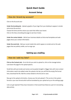# **Quick Start Guide**

# **Account Setup**

## **How do I brand my account?**

Click on the Accounts tab -

**Under the branding tab -** Upload a graphic of your logo from your desktop to appear in emails and across the account.

Choose the fonts and the colours you want that reflect your brand.

Click on the View a branding test page to see how it looks.

**Under the contact details -** Add all your business details so that email templates and web pages show your contact information.

**Under the social tab -** Add your social media links which appear on emails and on the web pages that are publicly visible, such as sign ups.

# **Setting up a mailing**

# **How do I add my lists?**

**Click on the Contacts tab -** Go to the list you wish to upload to, click on the manage button. Look down the page for the upload options.

Small lists with just emails and names can be pasted straight in. Bigger lists with more contact information need to be added under the upload a list tab, you will find the empty file format here, download the file. Add the contact details to the list and re-save.

Now go to the upload a list button, choose your list and upload it. This can be in the system format or your own format which will be translated by your upload set up on the settings page.

Lists can get rejected if they have characters in that would have likely be a part of a harvesting data activity.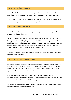# **How do I upload images?**

**Click on the Files tab -** You can store your images in different sub folders to keep them neat and to avoid using the same names of images which can cause the wrong image to appear.

Images can also be edited within Smartmessages to reduce the data size and pixel sizes but also be done in a graphics applications and then uploaded.

#### **How do templates work?**

The simplest way of using templates is to go to mailings tab, create a mailing and choose a template from the template library.

For html savvy users who want to add your emails under the template tab. These templates then appear in the template gallery under the content tab when creating a mailshot. Remember to add the code for unsubscribes, we will add one if you don't and it will appear at the bottom of the email. When you create a new template, the code snippets are in a drop down menu, allowing anything in the database to be added to each email.

If you need a more complicated reusable template then call us and we will work with you to create one, this is chargeable.

# **How do I do a test my emails?**

Create a test list and a test campaign (this keeps test mailing separate from the real ones). When working on a mailing, hit the send a test button and send it to the test list (it is best to have a range of email clients as recipients such as yahoo, google, hotmail, etc) to see how it appears on different machines such as mobiles.

Now copy the mailing on the mailings page, make the corrections and resend. Having got the email perfect, then make a copy, choose a name and under which campaign it will be stored. Choose the list you wish to send to, and send.

VERY IMPORTANT - There will be less mistakes if you send when you have done your tests, checked your links, subject, text, graphics,etc.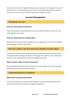Once an email shot is sent, it goes extremely fast, you can pause it and change it, but you will have to quick as 10's of thousands go out a minute. The fundamental rule here is only send when you are sure it is correct, this is the point where mistakes are made.

# **Account Management**

### **Managing my Lists**

#### **How do I download my bounces?**

There are two places to download these lists, one is under the contacts, the other is on the report page foe each mailing.

#### **How do I download my unsubscribes?**

Each list has an unsubscribe list associated with it, you get access to this on the edit/upload/ download page. Just click to download it.

# **How do I clean a list but keep the related unsubscribes?**

Sometimes it is useful to empty a list but keep the unsubscribes associated, you do this by clicking the empty list button at the bottom of the page. Then upload list, if any addresses on the list is on the unsubscribe list, it will not be added to the live list.

#### **When should I clean my lists of bounces?**

We automatically clean the list after 3 bounces, it is a smart system which cleans out email addresses when they are deemed to be defunct.

# **Understanding the Feedback.**

#### **What does my bounce list mean?**

This is worth looking at, as it will show the freshness of the list and also sometimes show trends with certain email companies, changing their behaviour.